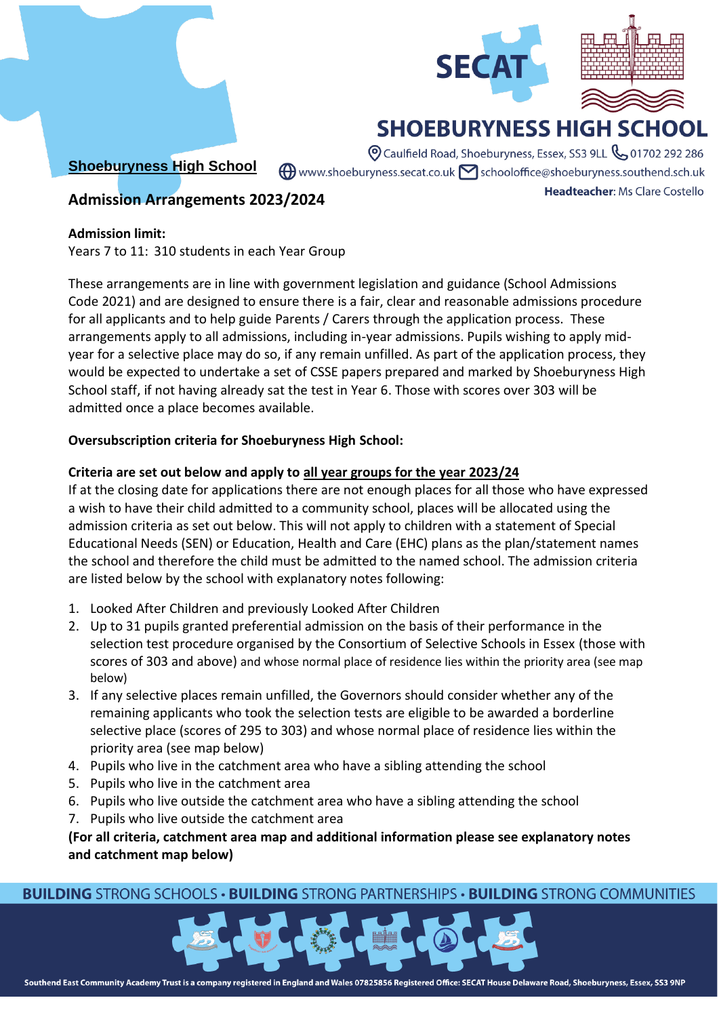



Headteacher: Ms Clare Costello

# **SHOEBURYNESS HIGH SCHO**

**Shoeburyness High School**

O Caulfield Road, Shoeburyness, Essex, SS3 9LL & 01702 292 286  $\bigoplus$  www.shoeburyness.secat.co.uk  $\bigtriangledown$  schooloffice@shoeburyness.southend.sch.uk

# **Admission Arrangements 2023/2024**

#### **Admission limit:**

Years 7 to 11: 310 students in each Year Group

These arrangements are in line with government legislation and guidance (School Admissions Code 2021) and are designed to ensure there is a fair, clear and reasonable admissions procedure for all applicants and to help guide Parents / Carers through the application process. These arrangements apply to all admissions, including in-year admissions. Pupils wishing to apply midyear for a selective place may do so, if any remain unfilled. As part of the application process, they would be expected to undertake a set of CSSE papers prepared and marked by Shoeburyness High School staff, if not having already sat the test in Year 6. Those with scores over 303 will be admitted once a place becomes available.

# **Oversubscription criteria for Shoeburyness High School:**

# **Criteria are set out below and apply to all year groups for the year 2023/24**

If at the closing date for applications there are not enough places for all those who have expressed a wish to have their child admitted to a community school, places will be allocated using the admission criteria as set out below. This will not apply to children with a statement of Special Educational Needs (SEN) or Education, Health and Care (EHC) plans as the plan/statement names the school and therefore the child must be admitted to the named school. The admission criteria are listed below by the school with explanatory notes following:

- 1. Looked After Children and previously Looked After Children
- 2. Up to 31 pupils granted preferential admission on the basis of their performance in the selection test procedure organised by the Consortium of Selective Schools in Essex (those with scores of 303 and above) and whose normal place of residence lies within the priority area (see map below)
- 3. If any selective places remain unfilled, the Governors should consider whether any of the remaining applicants who took the selection tests are eligible to be awarded a borderline selective place (scores of 295 to 303) and whose normal place of residence lies within the priority area (see map below)
- 4. Pupils who live in the catchment area who have a sibling attending the school
- 5. Pupils who live in the catchment area
- 6. Pupils who live outside the catchment area who have a sibling attending the school
- 7. Pupils who live outside the catchment area

**(For all criteria, catchment area map and additional information please see explanatory notes and catchment map below)**

# **BUILDING STRONG SCHOOLS · BUILDING STRONG PARTNERSHIPS · BUILDING STRONG COMMUNITIES**

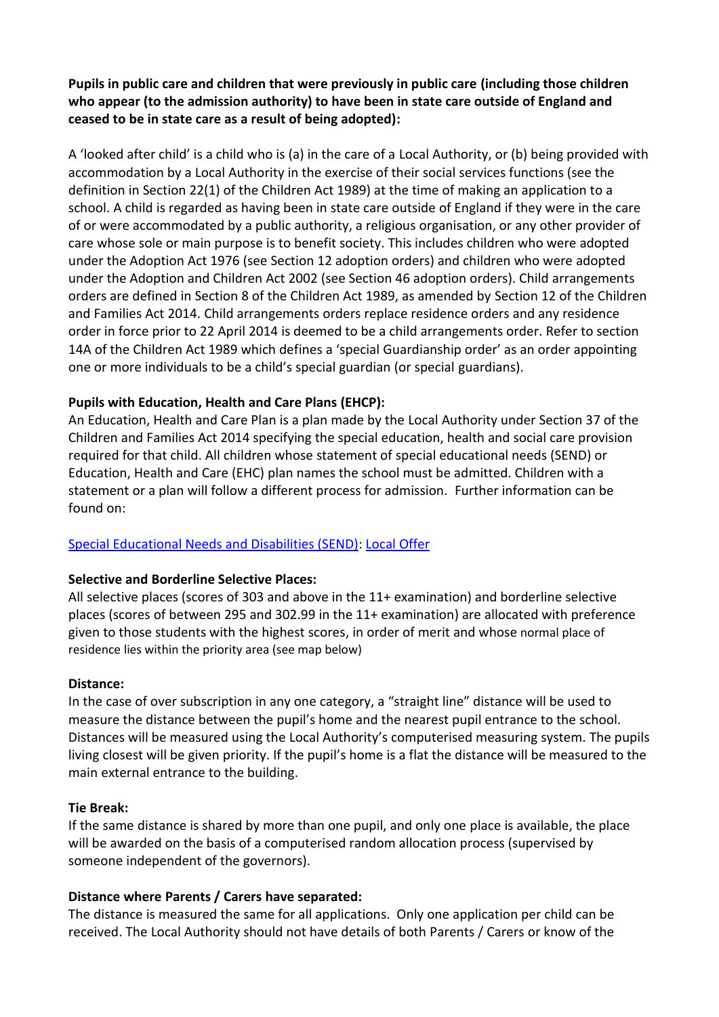**Pupils in public care and children that were previously in public care (including those children who appear (to the admission authority) to have been in state care outside of England and ceased to be in state care as a result of being adopted):**

A 'looked after child' is a child who is (a) in the care of a Local Authority, or (b) being provided with accommodation by a Local Authority in the exercise of their social services functions (see the definition in Section 22(1) of the Children Act 1989) at the time of making an application to a school. A child is regarded as having been in state care outside of England if they were in the care of or were accommodated by a public authority, a religious organisation, or any other provider of care whose sole or main purpose is to benefit society. This includes children who were adopted under the Adoption Act 1976 (see Section 12 adoption orders) and children who were adopted under the Adoption and Children Act 2002 (see Section 46 adoption orders). Child arrangements orders are defined in Section 8 of the Children Act 1989, as amended by Section 12 of the Children and Families Act 2014. Child arrangements orders replace residence orders and any residence order in force prior to 22 April 2014 is deemed to be a child arrangements order. Refer to section 14A of the Children Act 1989 which defines a 'special Guardianship order' as an order appointing one or more individuals to be a child's special guardian (or special guardians).

# **Pupils with Education, Health and Care Plans (EHCP):**

An Education, Health and Care Plan is a plan made by the Local Authority under Section 37 of the Children and Families Act 2014 specifying the special education, health and social care provision required for that child. All children whose statement of special educational needs (SEND) or Education, Health and Care (EHC) plan names the school must be admitted. Children with a statement or a plan will follow a different process for admission. Further information can be found on:

# [Special Educational Needs and Disabilities \(SEND\): Local Offer](about:blank)

# **Selective and Borderline Selective Places:**

All selective places (scores of 303 and above in the 11+ examination) and borderline selective places (scores of between 295 and 302.99 in the 11+ examination) are allocated with preference given to those students with the highest scores, in order of merit and whose normal place of residence lies within the priority area (see map below)

# **Distance:**

In the case of over subscription in any one category, a "straight line" distance will be used to measure the distance between the pupil's home and the nearest pupil entrance to the school. Distances will be measured using the Local Authority's computerised measuring system. The pupils living closest will be given priority. If the pupil's home is a flat the distance will be measured to the main external entrance to the building.

#### **Tie Break:**

If the same distance is shared by more than one pupil, and only one place is available, the place will be awarded on the basis of a computerised random allocation process (supervised by someone independent of the governors).

# **Distance where Parents / Carers have separated:**

The distance is measured the same for all applications. Only one application per child can be received. The Local Authority should not have details of both Parents / Carers or know of the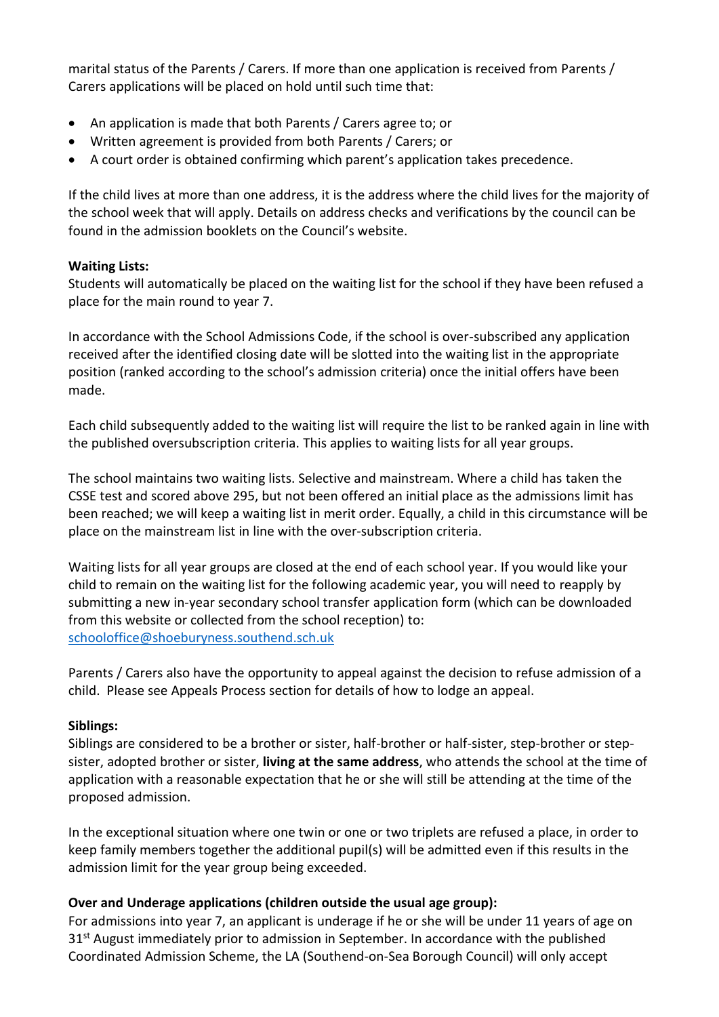marital status of the Parents / Carers. If more than one application is received from Parents / Carers applications will be placed on hold until such time that:

- An application is made that both Parents / Carers agree to; or
- Written agreement is provided from both Parents / Carers; or
- A court order is obtained confirming which parent's application takes precedence.

If the child lives at more than one address, it is the address where the child lives for the majority of the school week that will apply. Details on address checks and verifications by the council can be found in the admission booklets on the Council's website.

#### **Waiting Lists:**

Students will automatically be placed on the waiting list for the school if they have been refused a place for the main round to year 7.

In accordance with the School Admissions Code, if the school is over-subscribed any application received after the identified closing date will be slotted into the waiting list in the appropriate position (ranked according to the school's admission criteria) once the initial offers have been made.

Each child subsequently added to the waiting list will require the list to be ranked again in line with the published oversubscription criteria. This applies to waiting lists for all year groups.

The school maintains two waiting lists. Selective and mainstream. Where a child has taken the CSSE test and scored above 295, but not been offered an initial place as the admissions limit has been reached; we will keep a waiting list in merit order. Equally, a child in this circumstance will be place on the mainstream list in line with the over-subscription criteria.

Waiting lists for all year groups are closed at the end of each school year. If you would like your child to remain on the waiting list for the following academic year, you will need to reapply by submitting a new in-year secondary school transfer application form (which can be downloaded from this website or collected from the school reception) to: [schooloffice@shoeburyness.southend.sch.uk](about:blank)

Parents / Carers also have the opportunity to appeal against the decision to refuse admission of a child. Please see Appeals Process section for details of how to lodge an appeal.

# **Siblings:**

Siblings are considered to be a brother or sister, half-brother or half-sister, step-brother or stepsister, adopted brother or sister, **living at the same address**, who attends the school at the time of application with a reasonable expectation that he or she will still be attending at the time of the proposed admission.

In the exceptional situation where one twin or one or two triplets are refused a place, in order to keep family members together the additional pupil(s) will be admitted even if this results in the admission limit for the year group being exceeded.

# **Over and Underage applications (children outside the usual age group):**

For admissions into year 7, an applicant is underage if he or she will be under 11 years of age on 31<sup>st</sup> August immediately prior to admission in September. In accordance with the published Coordinated Admission Scheme, the LA (Southend-on-Sea Borough Council) will only accept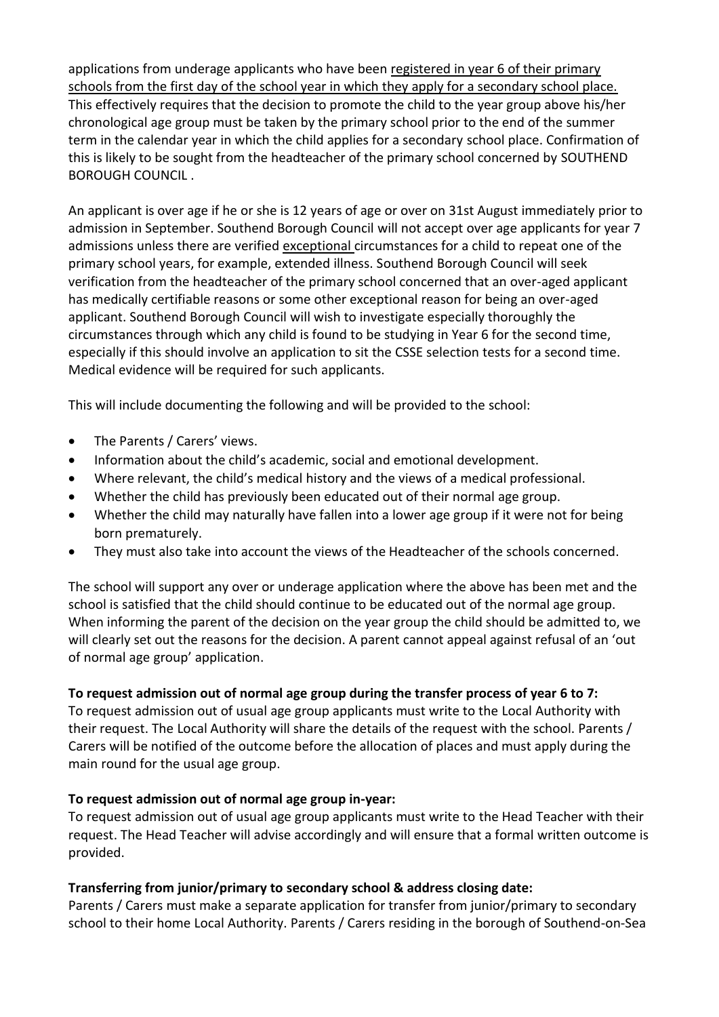applications from underage applicants who have been registered in year 6 of their primary schools from the first day of the school year in which they apply for a secondary school place. This effectively requires that the decision to promote the child to the year group above his/her chronological age group must be taken by the primary school prior to the end of the summer term in the calendar year in which the child applies for a secondary school place. Confirmation of this is likely to be sought from the headteacher of the primary school concerned by SOUTHEND BOROUGH COUNCIL .

An applicant is over age if he or she is 12 years of age or over on 31st August immediately prior to admission in September. Southend Borough Council will not accept over age applicants for year 7 admissions unless there are verified exceptional circumstances for a child to repeat one of the primary school years, for example, extended illness. Southend Borough Council will seek verification from the headteacher of the primary school concerned that an over-aged applicant has medically certifiable reasons or some other exceptional reason for being an over-aged applicant. Southend Borough Council will wish to investigate especially thoroughly the circumstances through which any child is found to be studying in Year 6 for the second time, especially if this should involve an application to sit the CSSE selection tests for a second time. Medical evidence will be required for such applicants.

This will include documenting the following and will be provided to the school:

- The Parents / Carers' views.
- Information about the child's academic, social and emotional development.
- Where relevant, the child's medical history and the views of a medical professional.
- Whether the child has previously been educated out of their normal age group.
- Whether the child may naturally have fallen into a lower age group if it were not for being born prematurely.
- They must also take into account the views of the Headteacher of the schools concerned.

The school will support any over or underage application where the above has been met and the school is satisfied that the child should continue to be educated out of the normal age group. When informing the parent of the decision on the year group the child should be admitted to, we will clearly set out the reasons for the decision. A parent cannot appeal against refusal of an 'out of normal age group' application.

# **To request admission out of normal age group during the transfer process of year 6 to 7:**

To request admission out of usual age group applicants must write to the Local Authority with their request. The Local Authority will share the details of the request with the school. Parents / Carers will be notified of the outcome before the allocation of places and must apply during the main round for the usual age group.

# **To request admission out of normal age group in-year:**

To request admission out of usual age group applicants must write to the Head Teacher with their request. The Head Teacher will advise accordingly and will ensure that a formal written outcome is provided.

# **Transferring from junior/primary to secondary school & address closing date:**

Parents / Carers must make a separate application for transfer from junior/primary to secondary school to their home Local Authority. Parents / Carers residing in the borough of Southend-on-Sea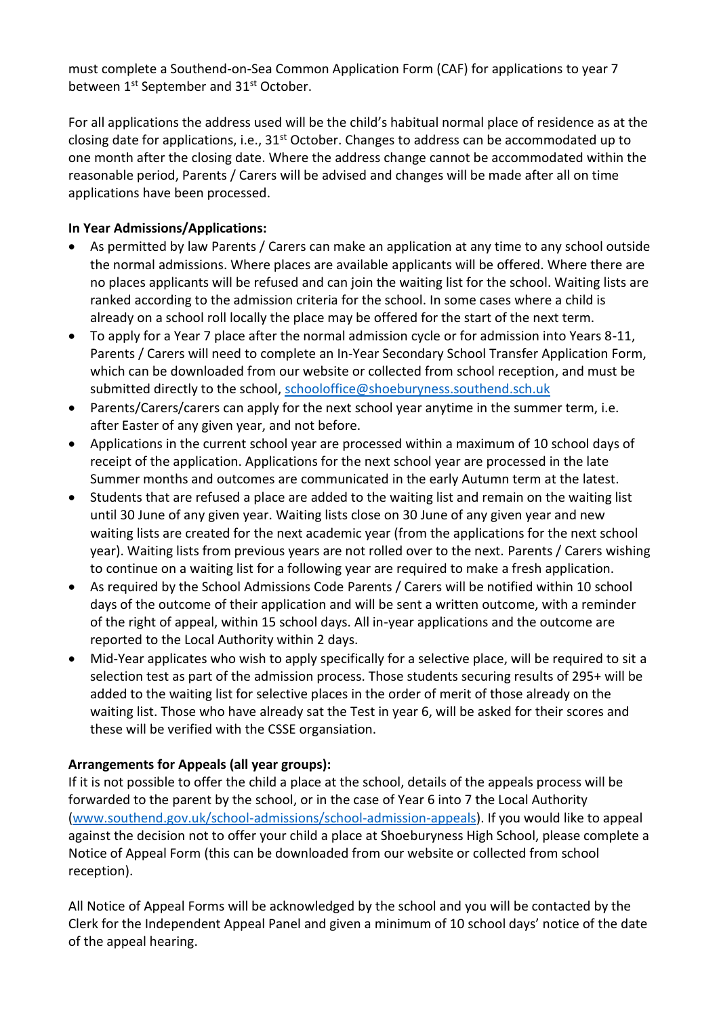must complete a Southend-on-Sea Common Application Form (CAF) for applications to year 7 between 1<sup>st</sup> September and 31<sup>st</sup> October.

For all applications the address used will be the child's habitual normal place of residence as at the closing date for applications, i.e., 31<sup>st</sup> October. Changes to address can be accommodated up to one month after the closing date. Where the address change cannot be accommodated within the reasonable period, Parents / Carers will be advised and changes will be made after all on time applications have been processed.

# **In Year Admissions/Applications:**

- As permitted by law Parents / Carers can make an application at any time to any school outside the normal admissions. Where places are available applicants will be offered. Where there are no places applicants will be refused and can join the waiting list for the school. Waiting lists are ranked according to the admission criteria for the school. In some cases where a child is already on a school roll locally the place may be offered for the start of the next term.
- To apply for a Year 7 place after the normal admission cycle or for admission into Years 8-11, Parents / Carers will need to complete an In-Year Secondary School Transfer Application Form, which can be downloaded from our website or collected from school reception, and must be submitted directly to the school, [schooloffice@shoeburyness.southend.sch.uk](about:blank)
- Parents/Carers/carers can apply for the next school year anytime in the summer term, i.e. after Easter of any given year, and not before.
- Applications in the current school year are processed within a maximum of 10 school days of receipt of the application. Applications for the next school year are processed in the late Summer months and outcomes are communicated in the early Autumn term at the latest.
- Students that are refused a place are added to the waiting list and remain on the waiting list until 30 June of any given year. Waiting lists close on 30 June of any given year and new waiting lists are created for the next academic year (from the applications for the next school year). Waiting lists from previous years are not rolled over to the next. Parents / Carers wishing to continue on a waiting list for a following year are required to make a fresh application.
- As required by the School Admissions Code Parents / Carers will be notified within 10 school days of the outcome of their application and will be sent a written outcome, with a reminder of the right of appeal, within 15 school days. All in-year applications and the outcome are reported to the Local Authority within 2 days.
- Mid-Year applicates who wish to apply specifically for a selective place, will be required to sit a selection test as part of the admission process. Those students securing results of 295+ will be added to the waiting list for selective places in the order of merit of those already on the waiting list. Those who have already sat the Test in year 6, will be asked for their scores and these will be verified with the CSSE organsiation.

# **Arrangements for Appeals (all year groups):**

If it is not possible to offer the child a place at the school, details of the appeals process will be forwarded to the parent by the school, or in the case of Year 6 into 7 the Local Authority [\(www.southend.gov.uk/school-admissions/school-admission-appeals\)](about:blank). If you would like to appeal against the decision not to offer your child a place at Shoeburyness High School, please complete a Notice of Appeal Form (this can be downloaded from our website or collected from school reception).

All Notice of Appeal Forms will be acknowledged by the school and you will be contacted by the Clerk for the Independent Appeal Panel and given a minimum of 10 school days' notice of the date of the appeal hearing.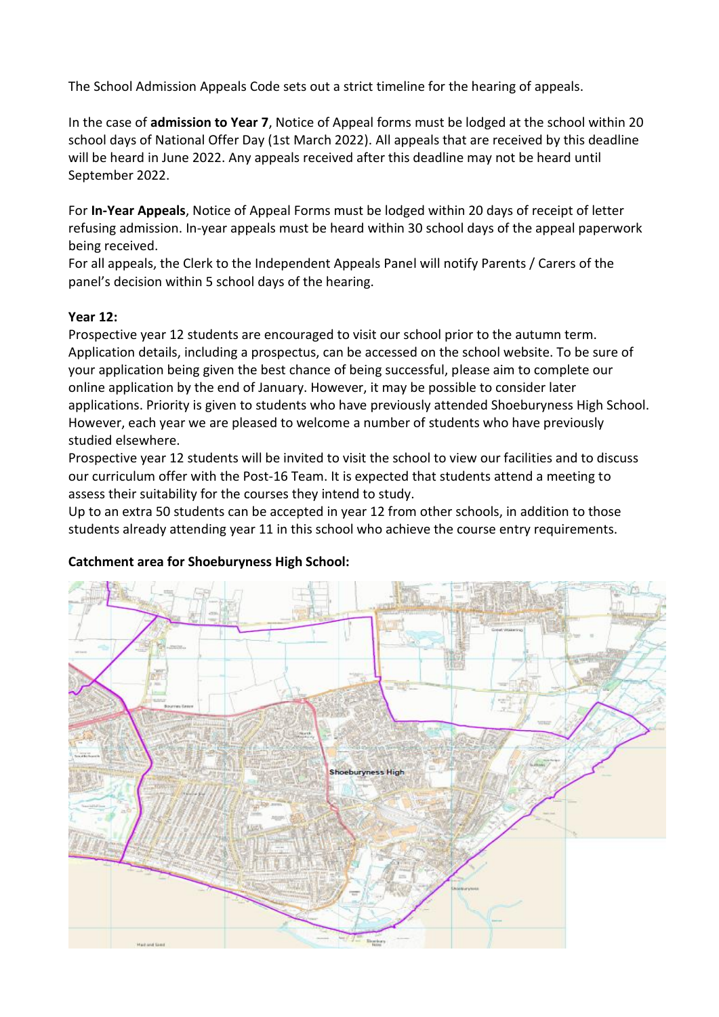The School Admission Appeals Code sets out a strict timeline for the hearing of appeals.

In the case of **admission to Year 7**, Notice of Appeal forms must be lodged at the school within 20 school days of National Offer Day (1st March 2022). All appeals that are received by this deadline will be heard in June 2022. Any appeals received after this deadline may not be heard until September 2022.

For **In-Year Appeals**, Notice of Appeal Forms must be lodged within 20 days of receipt of letter refusing admission. In-year appeals must be heard within 30 school days of the appeal paperwork being received.

For all appeals, the Clerk to the Independent Appeals Panel will notify Parents / Carers of the panel's decision within 5 school days of the hearing.

# **Year 12:**

Prospective year 12 students are encouraged to visit our school prior to the autumn term. Application details, including a prospectus, can be accessed on the school website. To be sure of your application being given the best chance of being successful, please aim to complete our online application by the end of January. However, it may be possible to consider later applications. Priority is given to students who have previously attended Shoeburyness High School. However, each year we are pleased to welcome a number of students who have previously studied elsewhere.

Prospective year 12 students will be invited to visit the school to view our facilities and to discuss our curriculum offer with the Post-16 Team. It is expected that students attend a meeting to assess their suitability for the courses they intend to study.

Up to an extra 50 students can be accepted in year 12 from other schools, in addition to those students already attending year 11 in this school who achieve the course entry requirements.

# **Catchment area for Shoeburyness High School:**